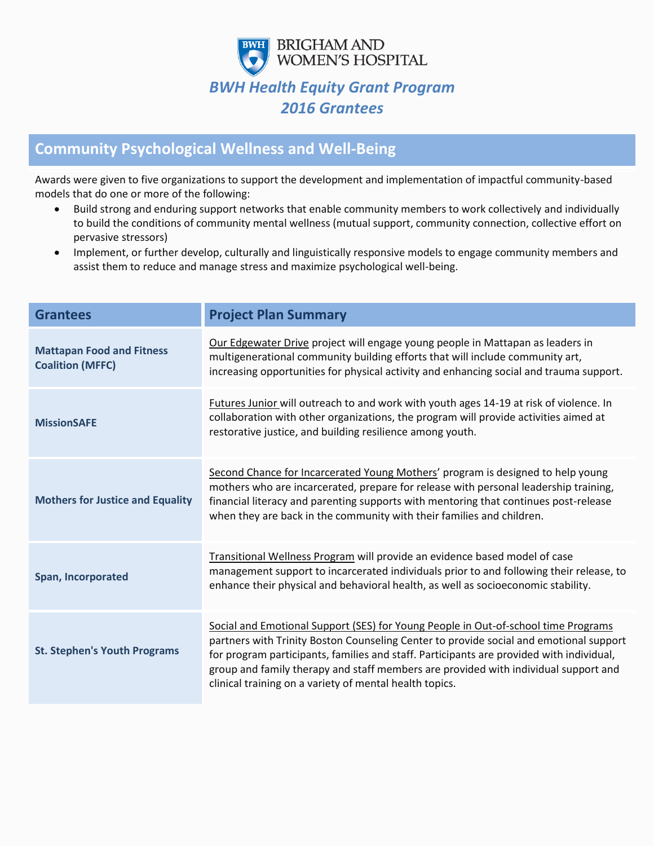

## **Community Psychological Wellness and Well-Being**

Awards were given to five organizations to support the development and implementation of impactful community-based models that do one or more of the following:

- Build strong and enduring support networks that enable community members to work collectively and individually to build the conditions of community mental wellness (mutual support, community connection, collective effort on pervasive stressors)
- Implement, or further develop, culturally and linguistically responsive models to engage community members and assist them to reduce and manage stress and maximize psychological well-being.

| <b>Grantees</b>                                             | <b>Project Plan Summary</b>                                                                                                                                                                                                                                                                                                                                                                                                |
|-------------------------------------------------------------|----------------------------------------------------------------------------------------------------------------------------------------------------------------------------------------------------------------------------------------------------------------------------------------------------------------------------------------------------------------------------------------------------------------------------|
| <b>Mattapan Food and Fitness</b><br><b>Coalition (MFFC)</b> | Our Edgewater Drive project will engage young people in Mattapan as leaders in<br>multigenerational community building efforts that will include community art,<br>increasing opportunities for physical activity and enhancing social and trauma support.                                                                                                                                                                 |
| <b>MissionSAFE</b>                                          | Futures Junior will outreach to and work with youth ages 14-19 at risk of violence. In<br>collaboration with other organizations, the program will provide activities aimed at<br>restorative justice, and building resilience among youth.                                                                                                                                                                                |
| <b>Mothers for Justice and Equality</b>                     | Second Chance for Incarcerated Young Mothers' program is designed to help young<br>mothers who are incarcerated, prepare for release with personal leadership training,<br>financial literacy and parenting supports with mentoring that continues post-release<br>when they are back in the community with their families and children.                                                                                   |
| Span, Incorporated                                          | Transitional Wellness Program will provide an evidence based model of case<br>management support to incarcerated individuals prior to and following their release, to<br>enhance their physical and behavioral health, as well as socioeconomic stability.                                                                                                                                                                 |
| <b>St. Stephen's Youth Programs</b>                         | Social and Emotional Support (SES) for Young People in Out-of-school time Programs<br>partners with Trinity Boston Counseling Center to provide social and emotional support<br>for program participants, families and staff. Participants are provided with individual,<br>group and family therapy and staff members are provided with individual support and<br>clinical training on a variety of mental health topics. |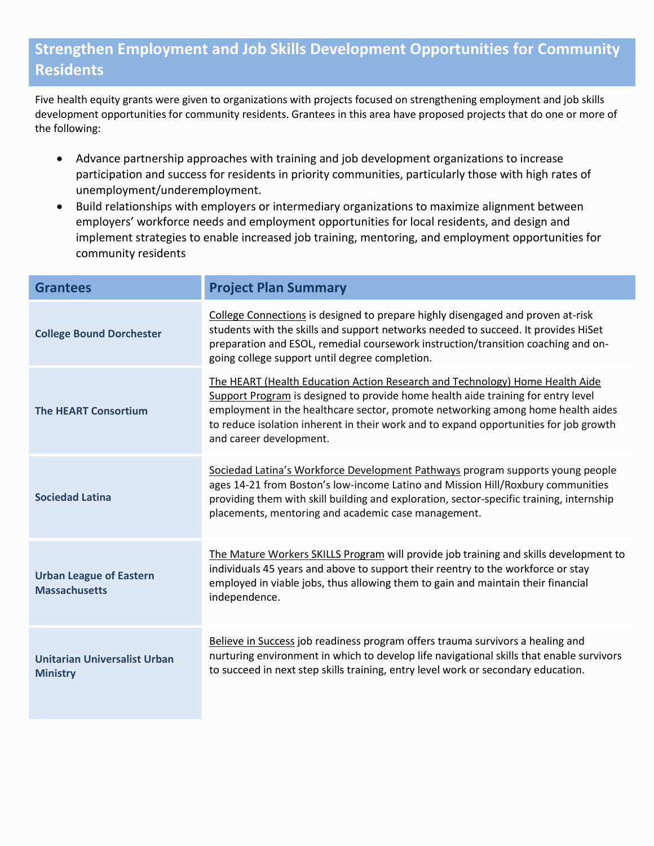## **Strengthen Employment and Job Skills Development Opportunities for Community Residents**

Five health equity grants were given to organizations with projects focused on strengthening employment and job skills development opportunities for community residents. Grantees in this area have proposed projects that do one or more of the following:

- Advance partnership approaches with training and job development organizations to increase participation and success for residents in priority communities, particularly those with high rates of unemployment/underemployment.
- Build relationships with employers or intermediary organizations to maximize alignment between employers' workforce needs and employment opportunities for local residents, and design and implement strategies to enable increased job training, mentoring, and employment opportunities for community residents

| <b>Grantees</b>                                        | <b>Project Plan Summary</b>                                                                                                                                                                                                                                                                                                                                             |
|--------------------------------------------------------|-------------------------------------------------------------------------------------------------------------------------------------------------------------------------------------------------------------------------------------------------------------------------------------------------------------------------------------------------------------------------|
| <b>College Bound Dorchester</b>                        | College Connections is designed to prepare highly disengaged and proven at-risk<br>students with the skills and support networks needed to succeed. It provides HiSet<br>preparation and ESOL, remedial coursework instruction/transition coaching and on-<br>going college support until degree completion.                                                            |
| <b>The HEART Consortium</b>                            | The HEART (Health Education Action Research and Technology) Home Health Aide<br>Support Program is designed to provide home health aide training for entry level<br>employment in the healthcare sector, promote networking among home health aides<br>to reduce isolation inherent in their work and to expand opportunities for job growth<br>and career development. |
| <b>Sociedad Latina</b>                                 | Sociedad Latina's Workforce Development Pathways program supports young people<br>ages 14-21 from Boston's low-income Latino and Mission Hill/Roxbury communities<br>providing them with skill building and exploration, sector-specific training, internship<br>placements, mentoring and academic case management.                                                    |
| <b>Urban League of Eastern</b><br><b>Massachusetts</b> | The Mature Workers SKILLS Program will provide job training and skills development to<br>individuals 45 years and above to support their reentry to the workforce or stay<br>employed in viable jobs, thus allowing them to gain and maintain their financial<br>independence.                                                                                          |
| <b>Unitarian Universalist Urban</b><br><b>Ministry</b> | Believe in Success job readiness program offers trauma survivors a healing and<br>nurturing environment in which to develop life navigational skills that enable survivors<br>to succeed in next step skills training, entry level work or secondary education.                                                                                                         |